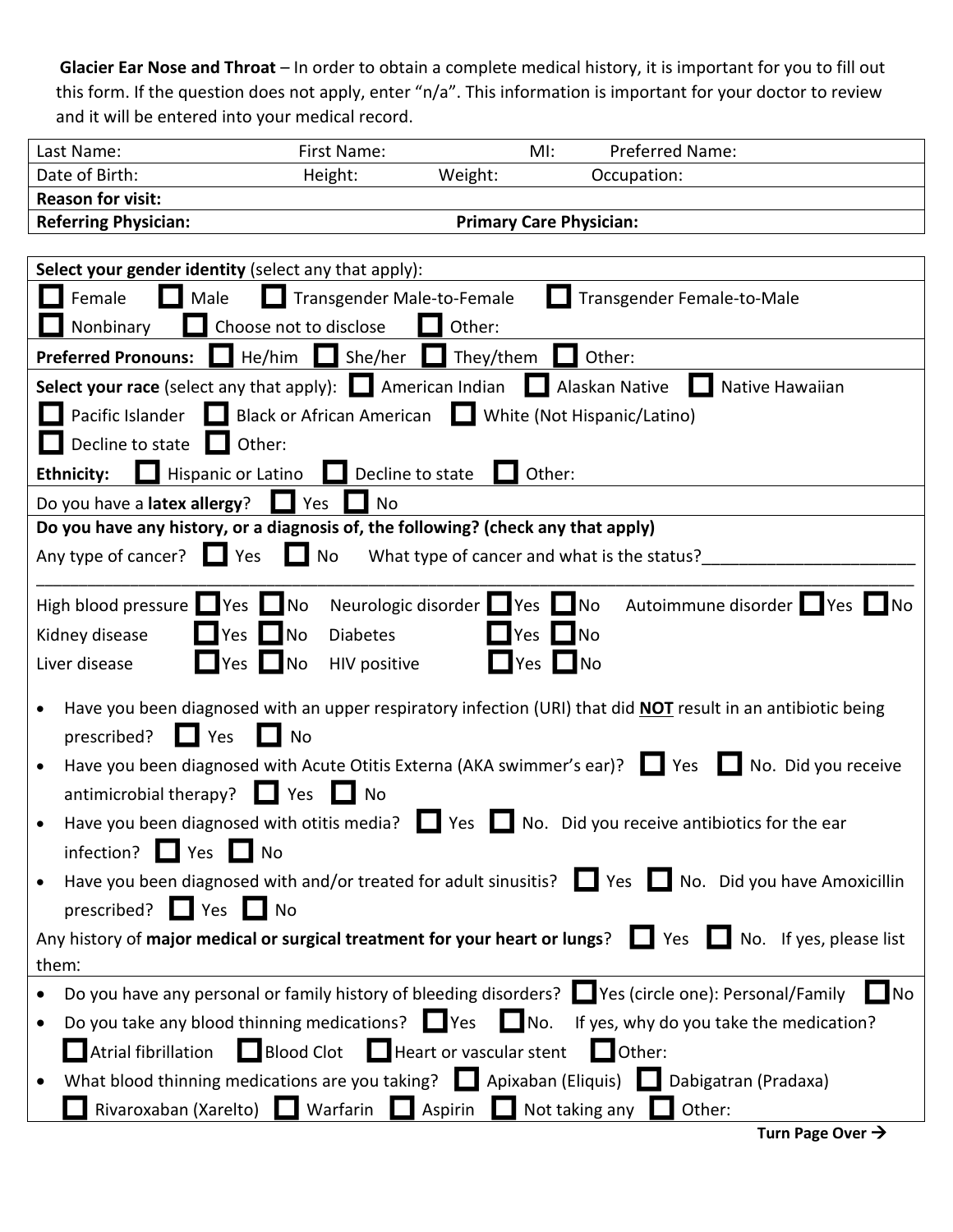**Glacier Ear Nose and Throat** – In order to obtain a complete medical history, it is important for you to fill out this form. If the question does not apply, enter "n/a". This information is important for your doctor to review and it will be entered into your medical record.

| Last Name:                  | First Name:                    |         | MI: | <b>Preferred Name:</b> |  |
|-----------------------------|--------------------------------|---------|-----|------------------------|--|
| Date of Birth:              | Height:                        | Weight: |     | Occupation:            |  |
| <b>Reason for visit:</b>    |                                |         |     |                        |  |
| <b>Referring Physician:</b> | <b>Primary Care Physician:</b> |         |     |                        |  |

| Select your gender identity (select any that apply):                                                                         |
|------------------------------------------------------------------------------------------------------------------------------|
| Male<br>Transgender Male-to-Female<br>Transgender Female-to-Male<br>Female<br>. .                                            |
| Nonbinary<br>Choose not to disclose<br>Other:                                                                                |
| <b>Preferred Pronouns:</b> He/him She/her<br>$\Box$ They/them<br>Other:<br>n a                                               |
| Select your race (select any that apply): $\Box$ American Indian $\Box$ Alaskan Native $\Box$<br>Native Hawaiian             |
| Pacific Islander <b>In Black or African American In White (Not Hispanic/Latino)</b>                                          |
| Decline to state $\Box$ Other:                                                                                               |
| Hispanic or Latino<br>Other:<br><b>Ethnicity:</b><br>Decline to state                                                        |
| Do you have a latex allergy?<br>Nes Yes<br>No                                                                                |
| Do you have any history, or a diagnosis of, the following? (check any that apply)                                            |
| Any type of cancer? $\Box$ Yes $\Box$ No<br>What type of cancer and what is the status?                                      |
|                                                                                                                              |
| High blood pressure Yes No<br>Neurologic disorder Wes No<br>Autoimmune disorder PYes<br><b>No</b>                            |
| $\Box$ Yes $\Box$ No<br>$\Box$ No<br>Kidney disease<br><b>Diabetes</b><br>$\Box$ Yes                                         |
| $\blacksquare$ Yes $\blacksquare$ No<br>Yes No<br>Liver disease<br>HIV positive                                              |
| Have you been diagnosed with an upper respiratory infection (URI) that did <b>NOT</b> result in an antibiotic being          |
| prescribed?<br>Yes<br>$\Box$ No<br>$\blacksquare$                                                                            |
| Have you been diagnosed with Acute Otitis Externa (AKA swimmer's ear)?<br>No. Did you receive                                |
| antimicrobial therapy? $\Box$ Yes $\Box$ No                                                                                  |
| Have you been diagnosed with otitis media? $\Box$ Yes $\Box$ No. Did you receive antibiotics for the ear<br>$\bullet$        |
| infection? $\Box$ Yes $\Box$ No                                                                                              |
| Have you been diagnosed with and/or treated for adult sinusitis? Nes No. Did you have Amoxicillin                            |
| prescribed? $\Box$ Yes $\Box$ No                                                                                             |
| Any history of major medical or surgical treatment for your heart or lungs?<br>$\blacksquare$ No. If yes, please list<br>Yes |
| them:                                                                                                                        |
| Do you have any personal or family history of bleeding disorders? Yes (circle one): Personal/Family<br>$\blacksquare$ No     |
| Do you take any blood thinning medications? $\Box$ Yes $\Box$ No.<br>If yes, why do you take the medication?                 |
| Atrial fibrillation Blood Clot Heart or vascular stent Other:                                                                |
| What blood thinning medications are you taking? $\Box$ Apixaban (Eliquis) $\Box$ Dabigatran (Pradaxa)                        |
| Rivaroxaban (Xarelto) Warfarin Aspirin Not taking any<br>Other:                                                              |
| Turn Page Over $\rightarrow$                                                                                                 |